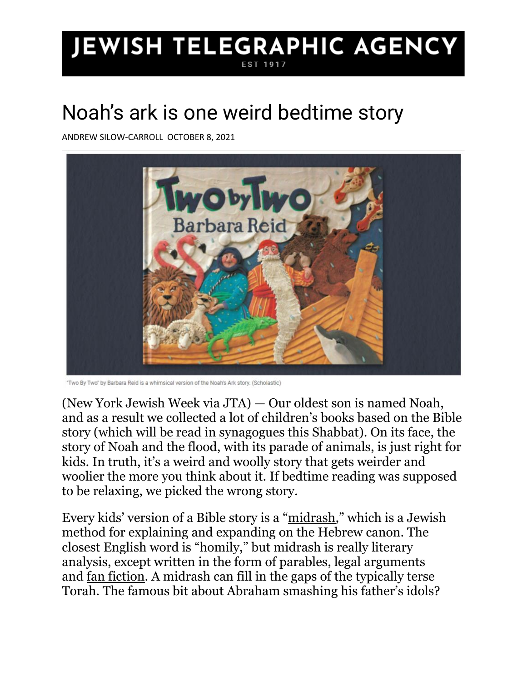## **JEWISH TELEGRAPHIC AGENCY**

## Noah's ark is one weird bedtime story

ANDREW SILOW-CARROLL OCTOBER 8, 2021



"Two By Two" by Barbara Reid is a whimsical version of the Noah's Ark story. (Scholastic)

[\(New York Jewish Week](https://jewishweek.timesofisrael.com/noah-and-the-ark-is-one-weird-bedtime-story/) via [JTA\)](https://jewishweek.timesofisrael.com/noah-and-the-ark-is-one-weird-bedtime-story/) — Our oldest son is named Noah, and as a result we collected a lot of children's books based on the Bible story (which [will be read in synagogues this Shabbat\)](https://links.jewishweek.org/a/1161/click/34987/350746/568d4417d628010d48a9c0c4b80c5f3e98b71572/7270b1edbf0b9e88f79d36ac7b810fe1c28350d9?ana=InV0bV9zb3VyY2U9TllKV19NYXJvcG9zdCZ1dG1fY2FtcGFpZ249TllKV19BU0NfQ29sdW1uJnV0bV9tZWRpdW09ZW1haWwi). On its face, the story of Noah and the flood, with its parade of animals, is just right for kids. In truth, it's a weird and woolly story that gets weirder and woolier the more you think about it. If bedtime reading was supposed to be relaxing, we picked the wrong story.

Every kids' version of a Bible story is a "[midrash](https://www.myjewishlearning.com/article/midrash-101/)," which is a Jewish method for explaining and expanding on the Hebrew canon. The closest English word is "homily," but midrash is really literary analysis, except written in the form of parables, legal arguments and [fan fiction.](https://links.jewishweek.org/a/1161/click/34987/350746/3aca3afa3bd58fb0c1fe180fffdebf3a69e2fbc6/7270b1edbf0b9e88f79d36ac7b810fe1c28350d9?ana=InV0bV9zb3VyY2U9TllKV19NYXJvcG9zdCZ1dG1fY2FtcGFpZ249TllKV19BU0NfQ29sdW1uJnV0bV9tZWRpdW09ZW1haWwi) A midrash can fill in the gaps of the typically terse Torah. The famous bit about Abraham smashing his father's idols?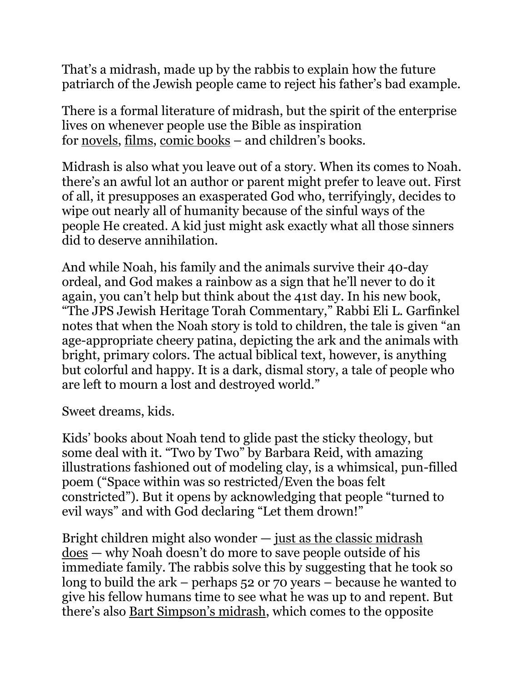That's a midrash, made up by the rabbis to explain how the future patriarch of the Jewish people came to reject his father's bad example.

There is a formal literature of midrash, but the spirit of the enterprise lives on whenever people use the Bible as inspiration for [novels,](https://links.jewishweek.org/a/1161/click/34987/350746/79d338b7ad1ae37acc6e1e18178bdca0ea3e26ba/7270b1edbf0b9e88f79d36ac7b810fe1c28350d9?ana=InV0bV9zb3VyY2U9TllKV19NYXJvcG9zdCZ1dG1fY2FtcGFpZ249TllKV19BU0NfQ29sdW1uJnV0bV9tZWRpdW09ZW1haWwi) [films,](https://links.jewishweek.org/a/1161/click/34987/350746/08c6cbaa7886d6c882f25240771fecab40edeb05/7270b1edbf0b9e88f79d36ac7b810fe1c28350d9?ana=InV0bV9zb3VyY2U9TllKV19NYXJvcG9zdCZ1dG1fY2FtcGFpZ249TllKV19BU0NfQ29sdW1uJnV0bV9tZWRpdW09ZW1haWwi) [comic books](https://links.jewishweek.org/a/1161/click/34987/350746/ca0e5b4adf4e632371db12589f50b0482d488afa/7270b1edbf0b9e88f79d36ac7b810fe1c28350d9?ana=InV0bV9zb3VyY2U9TllKV19NYXJvcG9zdCZ1dG1fY2FtcGFpZ249TllKV19BU0NfQ29sdW1uJnV0bV9tZWRpdW09ZW1haWwi) – and children's books.

Midrash is also what you leave out of a story. When its comes to Noah. there's an awful lot an author or parent might prefer to leave out. First of all, it presupposes an exasperated God who, terrifyingly, decides to wipe out nearly all of humanity because of the sinful ways of the people He created. A kid just might ask exactly what all those sinners did to deserve annihilation.

And while Noah, his family and the animals survive their 40-day ordeal, and God makes a rainbow as a sign that he'll never to do it again, you can't help but think about the 41st day. In his new book, "The JPS Jewish Heritage Torah Commentary," Rabbi Eli L. Garfinkel notes that when the Noah story is told to children, the tale is given "an age-appropriate cheery patina, depicting the ark and the animals with bright, primary colors. The actual biblical text, however, is anything but colorful and happy. It is a dark, dismal story, a tale of people who are left to mourn a lost and destroyed world."

Sweet dreams, kids.

Kids' books about Noah tend to glide past the sticky theology, but some deal with it. "Two by Two" by Barbara Reid, with amazing illustrations fashioned out of modeling clay, is a whimsical, pun-filled poem ("Space within was so restricted/Even the boas felt constricted"). But it opens by acknowledging that people "turned to evil ways" and with God declaring "Let them drown!"

Bright children might also wonder — [just as the classic midrash](https://www.sefaria.org/sheets/72413?lang=bi)  [does](https://www.sefaria.org/sheets/72413?lang=bi) — why Noah doesn't do more to save people outside of his immediate family. The rabbis solve this by suggesting that he took so long to build the ark – perhaps 52 or 70 years – because he wanted to give his fellow humans time to see what he was up to and repent. But there's also [Bart Simpson's midrash](https://links.jewishweek.org/a/1161/click/34987/350746/f89f1ac81705032bccccb4fdddad82823d0d7134/7270b1edbf0b9e88f79d36ac7b810fe1c28350d9?ana=InV0bV9zb3VyY2U9TllKV19NYXJvcG9zdCZ1dG1fY2FtcGFpZ249TllKV19BU0NfQ29sdW1uJnV0bV9tZWRpdW09ZW1haWwi), which comes to the opposite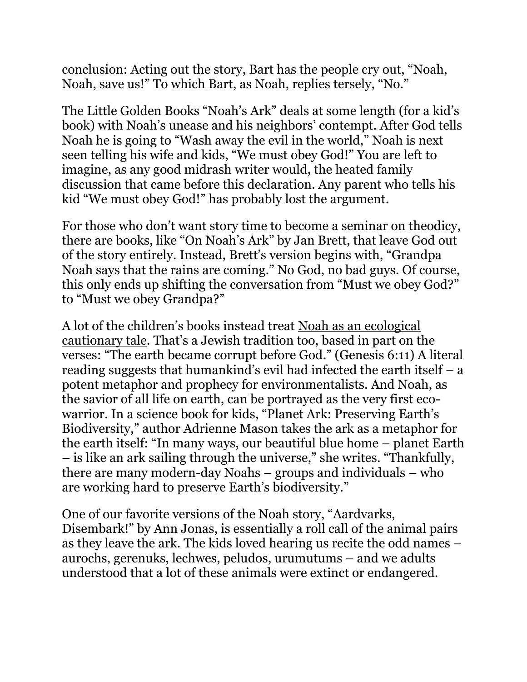conclusion: Acting out the story, Bart has the people cry out, "Noah, Noah, save us!" To which Bart, as Noah, replies tersely, "No."

The Little Golden Books "Noah's Ark" deals at some length (for a kid's book) with Noah's unease and his neighbors' contempt. After God tells Noah he is going to "Wash away the evil in the world," Noah is next seen telling his wife and kids, "We must obey God!" You are left to imagine, as any good midrash writer would, the heated family discussion that came before this declaration. Any parent who tells his kid "We must obey God!" has probably lost the argument.

For those who don't want story time to become a seminar on theodicy, there are books, like "On Noah's Ark" by Jan Brett, that leave God out of the story entirely. Instead, Brett's version begins with, "Grandpa Noah says that the rains are coming." No God, no bad guys. Of course, this only ends up shifting the conversation from "Must we obey God?" to "Must we obey Grandpa?"

A lot of the children's books instead treat [Noah as an ecological](https://links.jewishweek.org/a/1161/click/34987/350746/cdcd7c2f88e18216b4cf61e9c51e4adcecb30122/7270b1edbf0b9e88f79d36ac7b810fe1c28350d9?ana=InV0bV9zb3VyY2U9TllKV19NYXJvcG9zdCZ1dG1fY2FtcGFpZ249TllKV19BU0NfQ29sdW1uJnV0bV9tZWRpdW09ZW1haWwi)  [cautionary tale](https://links.jewishweek.org/a/1161/click/34987/350746/cdcd7c2f88e18216b4cf61e9c51e4adcecb30122/7270b1edbf0b9e88f79d36ac7b810fe1c28350d9?ana=InV0bV9zb3VyY2U9TllKV19NYXJvcG9zdCZ1dG1fY2FtcGFpZ249TllKV19BU0NfQ29sdW1uJnV0bV9tZWRpdW09ZW1haWwi). That's a Jewish tradition too, based in part on the verses: "The earth became corrupt before God." (Genesis 6:11) A literal reading suggests that humankind's evil had infected the earth itself – a potent metaphor and prophecy for environmentalists. And Noah, as the savior of all life on earth, can be portrayed as the very first ecowarrior. In a science book for kids, "Planet Ark: Preserving Earth's Biodiversity," author Adrienne Mason takes the ark as a metaphor for the earth itself: "In many ways, our beautiful blue home – planet Earth – is like an ark sailing through the universe," she writes. "Thankfully, there are many modern-day Noahs – groups and individuals – who are working hard to preserve Earth's biodiversity."

One of our favorite versions of the Noah story, "Aardvarks, Disembark!" by Ann Jonas, is essentially a roll call of the animal pairs as they leave the ark. The kids loved hearing us recite the odd names – aurochs, gerenuks, lechwes, peludos, urumutums – and we adults understood that a lot of these animals were extinct or endangered.